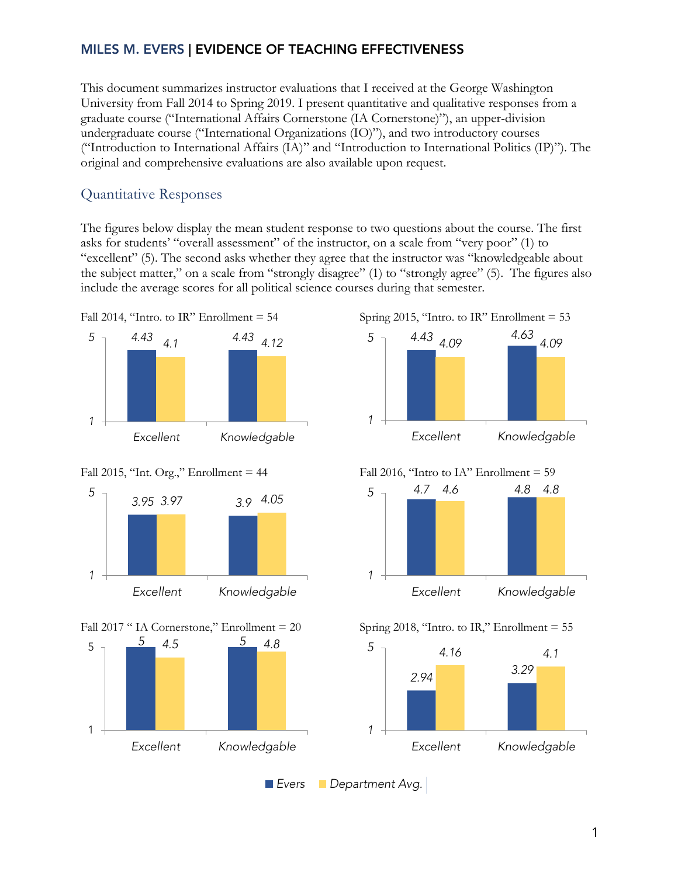## MILES M. EVERS | EVIDENCE OF TEACHING EFFECTIVENESS

This document summarizes instructor evaluations that I received at the George Washington University from Fall 2014 to Spring 2019. I present quantitative and qualitative responses from a graduate course ("International Affairs Cornerstone (IA Cornerstone)"), an upper-division undergraduate course ("International Organizations (IO)"), and two introductory courses ("Introduction to International Affairs (IA)" and "Introduction to International Politics (IP)"). The original and comprehensive evaluations are also available upon request.

# Quantitative Responses

The figures below display the mean student response to two questions about the course. The first asks for students' "overall assessment" of the instructor, on a scale from "very poor" (1) to "excellent" (5). The second asks whether they agree that the instructor was "knowledgeable about the subject matter," on a scale from "strongly disagree" (1) to "strongly agree" (5). The figures also include the average scores for all political science courses during that semester.